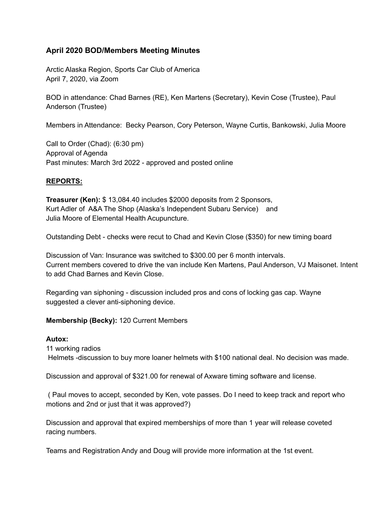# **April 2020 BOD/Members Meeting Minutes**

Arctic Alaska Region, Sports Car Club of America April 7, 2020, via Zoom

BOD in attendance: Chad Barnes (RE), Ken Martens (Secretary), Kevin Cose (Trustee), Paul Anderson (Trustee)

Members in Attendance: Becky Pearson, Cory Peterson, Wayne Curtis, Bankowski, Julia Moore

Call to Order (Chad): (6:30 pm) Approval of Agenda Past minutes: March 3rd 2022 - approved and posted online

## **REPORTS:**

**Treasurer (Ken):** \$ 13,084.40 includes \$2000 deposits from 2 Sponsors, Kurt Adler of A&A The Shop (Alaska's Independent Subaru Service) and Julia Moore of Elemental Health Acupuncture.

Outstanding Debt - checks were recut to Chad and Kevin Close (\$350) for new timing board

Discussion of Van: Insurance was switched to \$300.00 per 6 month intervals. Current members covered to drive the van include Ken Martens, Paul Anderson, VJ Maisonet. Intent to add Chad Barnes and Kevin Close.

Regarding van siphoning - discussion included pros and cons of locking gas cap. Wayne suggested a clever anti-siphoning device.

## **Membership (Becky):** 120 Current Members

#### **Autox:**

11 working radios

Helmets -discussion to buy more loaner helmets with \$100 national deal. No decision was made.

Discussion and approval of \$321.00 for renewal of Axware timing software and license.

( Paul moves to accept, seconded by Ken, vote passes. Do I need to keep track and report who motions and 2nd or just that it was approved?)

Discussion and approval that expired memberships of more than 1 year will release coveted racing numbers.

Teams and Registration Andy and Doug will provide more information at the 1st event.